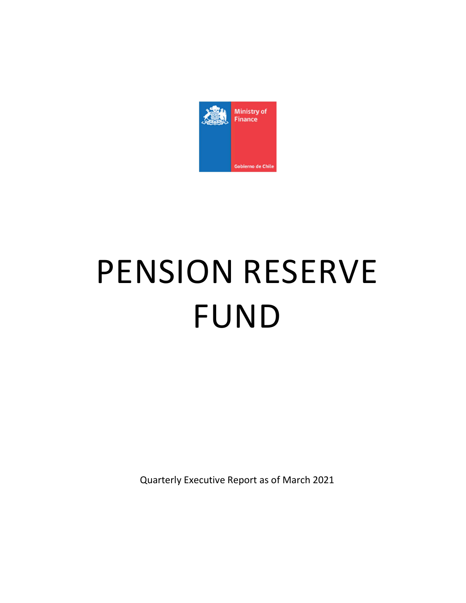

# PENSION RESERVE FUND

Quarterly Executive Report as of March 2021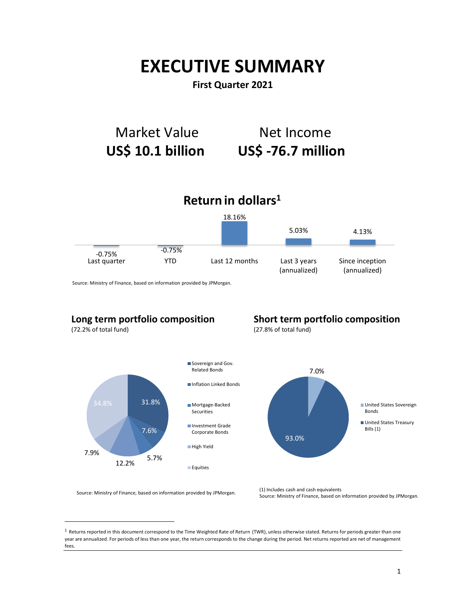## EXECUTIVE SUMMARY

## First Quarter 2021



Source: Ministry of Finance, based on information provided by JPMorgan.

## Long term portfolio composition

(72.2% of total fund)

-

## Short term portfolio composition

(27.8% of total fund)



Source: Ministry of Finance, based on information provided by JPMorgan. (1) Includes cash and cash equivalents

 $1$  Returns reported in this document correspond to the Time Weighted Rate of Return (TWR), unless otherwise stated. Returns for periods greater than one year are annualized. For periods of less than one year, the return corresponds to the change during the period. Net returns reported are net of management fees.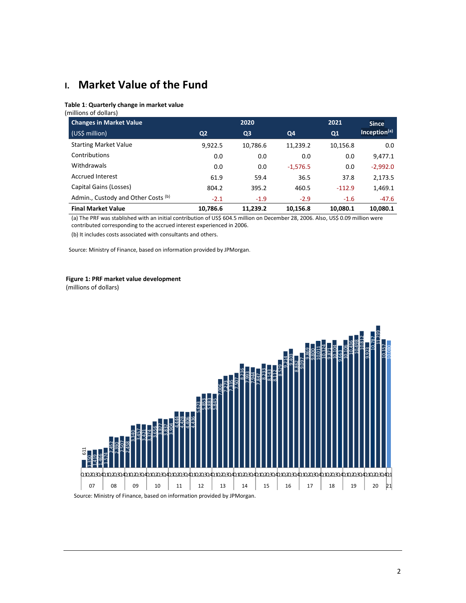## I. Market Value of the Fund

#### Table 1: Quarterly change in market value

(millions of dollars)

| <b>Changes in Market Value</b>      |                | 2020           |                | 2021     | <b>Since</b>             |
|-------------------------------------|----------------|----------------|----------------|----------|--------------------------|
| (US\$ million)                      | Q <sub>2</sub> | Q <sub>3</sub> | Q <sub>4</sub> | Q1       | Inception <sup>(a)</sup> |
| <b>Starting Market Value</b>        | 9,922.5        | 10,786.6       | 11,239.2       | 10,156.8 | 0.0                      |
| Contributions                       | 0.0            | 0.0            | 0.0            | 0.0      | 9,477.1                  |
| Withdrawals                         | 0.0            | 0.0            | $-1,576.5$     | 0.0      | $-2,992.0$               |
| <b>Accrued Interest</b>             | 61.9           | 59.4           | 36.5           | 37.8     | 2,173.5                  |
| Capital Gains (Losses)              | 804.2          | 395.2          | 460.5          | $-112.9$ | 1,469.1                  |
| Admin., Custody and Other Costs (b) | $-2.1$         | $-1.9$         | $-2.9$         | $-1.6$   | -47.6                    |
| <b>Final Market Value</b>           | 10,786.6       | 11.239.2       | 10,156.8       | 10,080.1 | 10,080.1                 |

(a) The PRF was stablished with an initial contribution of US\$ 604.5 million on December 28, 2006. Also, US\$ 0.09 million were contributed corresponding to the accrued interest experienced in 2006.

(b) It includes costs associated with consultants and others.

Source: Ministry of Finance, based on information provided by JPMorgan.

#### Figure 1: PRF market value development

(millions of dollars)

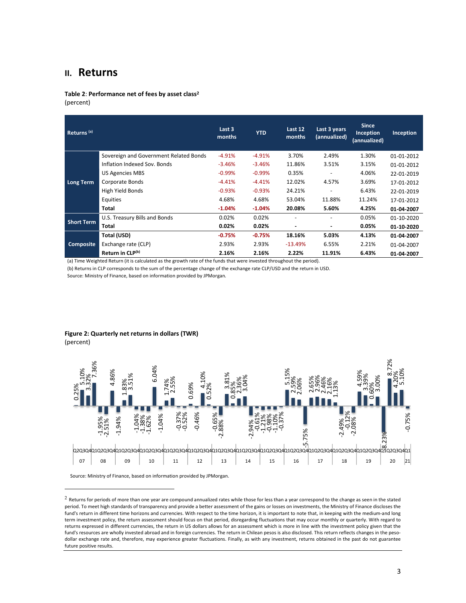### II. Returns

Table 2: Performance net of fees by asset class<sup>2</sup> (percent)

| Returns <sup>(a)</sup>                                                                                                |                                        | Last 3<br>months | <b>YTD</b> | Last 12<br>months | Last 3 years<br>(annualized) | <b>Since</b><br>Inception<br>(annualized) | Inception  |
|-----------------------------------------------------------------------------------------------------------------------|----------------------------------------|------------------|------------|-------------------|------------------------------|-------------------------------------------|------------|
|                                                                                                                       | Sovereign and Government Related Bonds | $-4.91%$         | $-4.91%$   | 3.70%             | 2.49%                        | 1.30%                                     | 01-01-2012 |
|                                                                                                                       | Inflation Indexed Sov. Bonds           | $-3.46%$         | $-3.46%$   | 11.86%            | 3.51%                        | 3.15%                                     | 01-01-2012 |
|                                                                                                                       | <b>US Agencies MBS</b>                 | $-0.99%$         | $-0.99%$   | 0.35%             |                              | 4.06%                                     | 22-01-2019 |
| Long Term                                                                                                             | Corporate Bonds                        | $-4.41%$         | $-4.41%$   | 12.02%            | 4.57%                        | 3.69%                                     | 17-01-2012 |
|                                                                                                                       | High Yield Bonds                       | $-0.93%$         | $-0.93%$   | 24.21%            | $\overline{\phantom{a}}$     | 6.43%                                     | 22-01-2019 |
|                                                                                                                       | Equities                               | 4.68%            | 4.68%      | 53.04%            | 11.88%                       | 11.24%                                    | 17-01-2012 |
|                                                                                                                       | <b>Total</b>                           | $-1.04%$         | $-1.04%$   | 20.08%            | 5.60%                        | 4.25%                                     | 01-04-2007 |
| <b>Short Term</b>                                                                                                     | U.S. Treasury Bills and Bonds          | 0.02%            | 0.02%      |                   |                              | 0.05%                                     | 01-10-2020 |
|                                                                                                                       | Total                                  | 0.02%            | 0.02%      | ۰                 | ۰                            | 0.05%                                     | 01 10 2020 |
|                                                                                                                       | Total (USD)                            | $-0.75%$         | $-0.75%$   | 18.16%            | 5.03%                        | 4.13%                                     | 01-04-2007 |
| <b>Composite</b>                                                                                                      | Exchange rate (CLP)                    | 2.93%            | 2.93%      | $-13.49%$         | 6.55%                        | 2.21%                                     | 01-04-2007 |
|                                                                                                                       | Return in CLP(b)                       | 2.16%            | 2.16%      | 2.22%             | 11.91%                       | 6.43%                                     | 01-04-2007 |
| (a) Time Weighted Return (it is calculated as the growth rate of the funds that were invested throughout the period). |                                        |                  |            |                   |                              |                                           |            |

(b) Returns in CLP corresponds to the sum of the percentage change of the exchange rate CLP/USD and the return in USD.

Source: Ministry of Finance, based on information provided by JPMorgan.

## Figure 2: Quarterly net returns in dollars (TWR)

(percent)

-



 $2$  Returns for periods of more than one year are compound annualized rates while those for less than a year correspond to the change as seen in the stated period. To meet high standards of transparency and provide a better assessment of the gains or losses on investments, the Ministry of Finance discloses the fund's return in different time horizons and currencies. With respect to the time horizon, it is important to note that, in keeping with the medium-and long term investment policy, the return assessment should focus on that period, disregarding fluctuations that may occur monthly or quarterly. With regard to returns expressed in different currencies, the return in US dollars allows for an assessment which is more in line with the investment policy given that the fund's resources are wholly invested abroad and in foreign currencies. The return in Chilean pesos is also disclosed. This return reflects changes in the pesodollar exchange rate and, therefore, may experience greater fluctuations. Finally, as with any investment, returns obtained in the past do not guarantee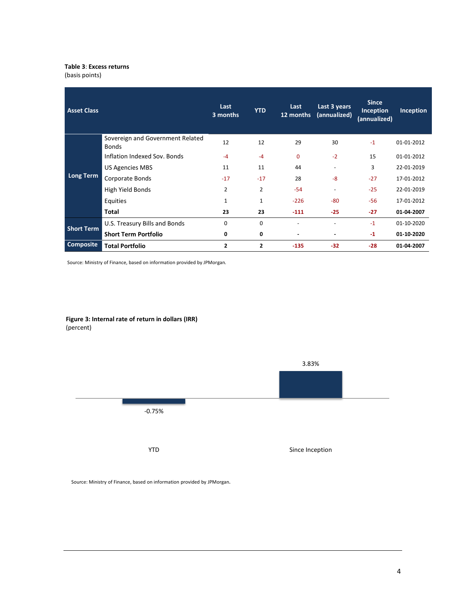#### Table 3: Excess returns

(basis points)

| <b>Asset Class</b> |                                                  | Last<br>3 months | <b>YTD</b>     | Last<br>12 months | Last 3 years<br>(annualized) | <b>Since</b><br>Inception<br>(annualized) | Inception  |
|--------------------|--------------------------------------------------|------------------|----------------|-------------------|------------------------------|-------------------------------------------|------------|
|                    | Sovereign and Government Related<br><b>Bonds</b> | 12               | 12             | 29                | 30                           | $-1$                                      | 01-01-2012 |
|                    | Inflation Indexed Sov. Bonds                     | $-4$             | $-4$           | $\Omega$          | $-2$                         | 15                                        | 01-01-2012 |
|                    | <b>US Agencies MBS</b>                           | 11               | 11             | 44                | ٠                            | 3                                         | 22-01-2019 |
| <b>Long Term</b>   | Corporate Bonds                                  | $-17$            | $-17$          | 28                | $-8$                         | $-27$                                     | 17-01-2012 |
|                    | High Yield Bonds                                 | $\overline{2}$   | $\overline{2}$ | $-54$             | $\overline{\phantom{a}}$     | $-25$                                     | 22-01-2019 |
|                    | Equities                                         | $\mathbf{1}$     | 1              | $-226$            | $-80$                        | $-56$                                     | 17-01-2012 |
|                    | Total                                            | 23               | 23             | $-111$            | $-25$                        | $-27$                                     | 01-04-2007 |
| <b>Short Term</b>  | U.S. Treasury Bills and Bonds                    | $\Omega$         | $\mathbf 0$    |                   | $\overline{a}$               | $-1$                                      | 01-10-2020 |
|                    | <b>Short Term Portfolio</b>                      | 0                | 0              |                   |                              | $-1$                                      | 01-10-2020 |
| <b>Composite</b>   | <b>Total Portfolio</b>                           | 2                | 2              | $-135$            | $-32$                        | $-28$                                     | 01-04-2007 |

Source: Ministry of Finance, based on information provided by JPMorgan.



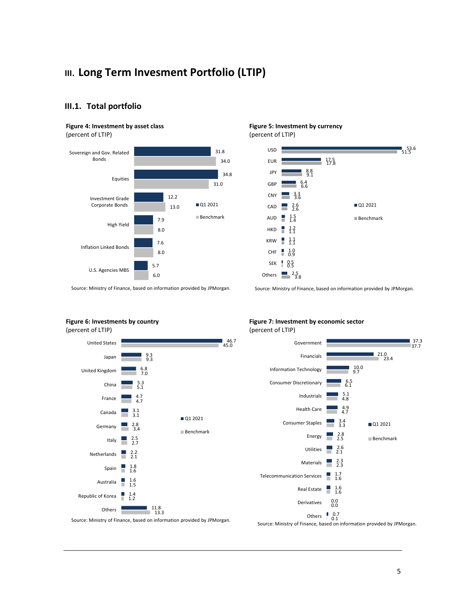## III. Long Term Invesment Portfolio (LTIP)



#### III.1. Total portfolio

#### Figure 4: Investment by asset class

(percent of LTIP)



Source: Ministry of Finance, based on information provided by JPMorgan.

## Figure 6: Investments by country



#### Figure 7: Investment by economic sector (percent of LTIP)

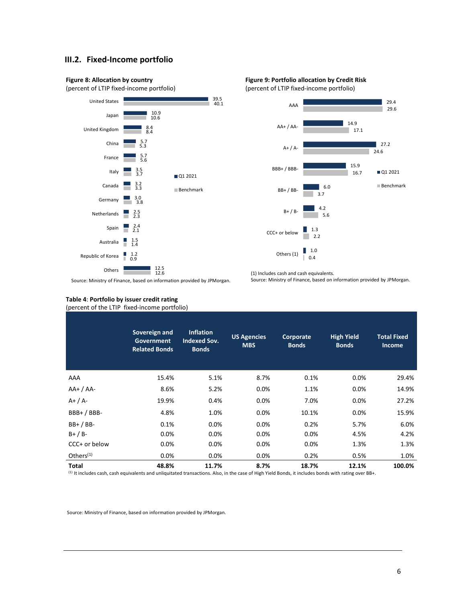#### III.2. Fixed-Income portfolio



(percent of LTIP fixed-income portfolio)







Source: Ministry of Finance, based on information provided by JPMorgan.

## Table 4: Portfolio by issuer credit rating

(percent of the LTIP fixed-income portfolio)

|                       | Sovereign and<br><b>Government</b><br><b>Related Bonds</b> | <b>Inflation</b><br><b>Indexed Sov.</b><br><b>Bonds</b> | <b>US Agencies</b><br><b>MBS</b> | Corporate<br><b>Bonds</b> | <b>High Yield</b><br><b>Bonds</b> | <b>Total Fixed</b><br><b>Income</b> |
|-----------------------|------------------------------------------------------------|---------------------------------------------------------|----------------------------------|---------------------------|-----------------------------------|-------------------------------------|
| AAA                   | 15.4%                                                      | 5.1%                                                    | 8.7%                             | 0.1%                      | $0.0\%$                           | 29.4%                               |
| $AA+ / AA-$           | 8.6%                                                       | 5.2%                                                    | 0.0%                             | 1.1%                      | $0.0\%$                           | 14.9%                               |
| $A+ / A-$             | 19.9%                                                      | 0.4%                                                    | 0.0%                             | 7.0%                      | 0.0%                              | 27.2%                               |
| $BBB+ / BBB-$         | 4.8%                                                       | 1.0%                                                    | 0.0%                             | 10.1%                     | 0.0%                              | 15.9%                               |
| $BB+ / BB-$           | 0.1%                                                       | 0.0%                                                    | 0.0%                             | 0.2%                      | 5.7%                              | 6.0%                                |
| $B+ / B-$             | 0.0%                                                       | 0.0%                                                    | 0.0%                             | 0.0%                      | 4.5%                              | 4.2%                                |
| CCC+ or below         | 0.0%                                                       | 0.0%                                                    | 0.0%                             | 0.0%                      | 1.3%                              | 1.3%                                |
| Others <sup>(1)</sup> | $0.0\%$                                                    | $0.0\%$                                                 | 0.0%                             | 0.2%                      | 0.5%                              | 1.0%                                |
| Total                 | 48.8%                                                      | 11.7%                                                   | 8.7%                             | 18.7%                     | 12.1%                             | 100.0%                              |

(1) It includes cash, cash equivalents and unliquitated transactions. Also, in the case of High Yield Bonds, it includes bonds with rating over BB+.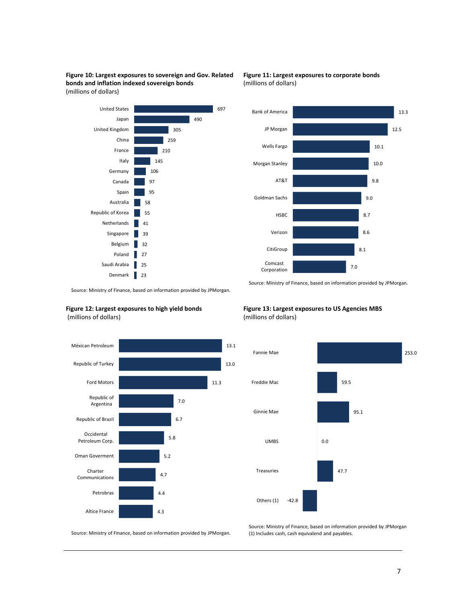Figure 10: Largest exposures to sovereign and Gov. Related bonds and inflation indexed sovereign bonds (millions of dollars)



Figure 11: Largest exposures to corporate bonds (millions of dollars)



Source: Ministry of Finance, based on information provided by JPMorgan. .

#### Figure 12: Largest exposures to high yield bonds (millions of dollars)



#### Figure 13: Largest exposures to US Agencies MBS (millions of dollars)



Source: Ministry of Finance, based on information provided by JPMorgan.

Source: Ministry of Finance, based on information provided by JPMorgan (1) Includes cash, cash equivalend and payables.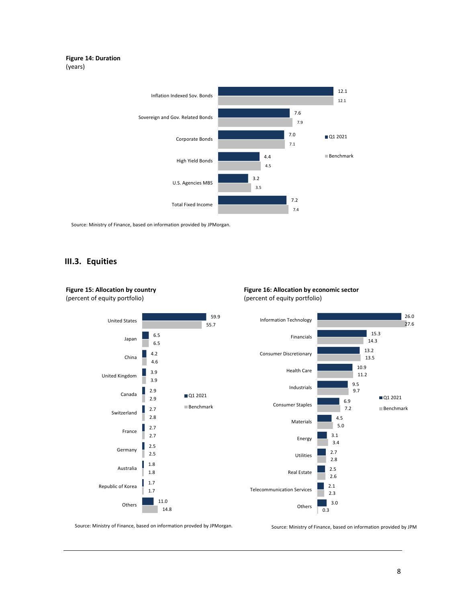#### Figure 14: Duration (years)



Source: Ministry of Finance, based on information provided by JPMorgan.

#### III.3. Equities

Figure 15: Allocation by country



#### Figure 16: Allocation by economic sector (percent of equity portfolio)



Source: Ministry of Finance, based on information provded by JPMorgan.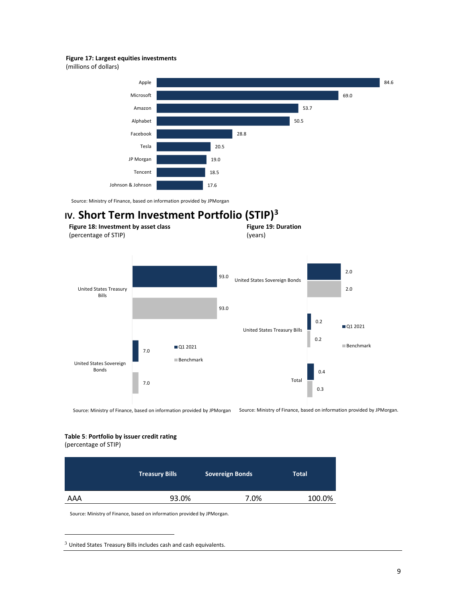#### Figure 17: Largest equities investments

(millions of dollars)



Source: Ministry of Finance, based on information provided by JPMorgan

## IV. Short Term Investment Portfolio (STIP)<sup>3</sup>



Source: Ministry of Finance, based on information provided by JPMorgan Source: Ministry of Finance, based on information provided by JPMorgan.

#### Table 5: Portfolio by issuer credit rating

(percentage of STIP)

-

|     | <b>Treasury Bills</b> | <b>Sovereign Bonds</b> | <b>Total</b> |
|-----|-----------------------|------------------------|--------------|
| AAA | 93.0%                 | 7.0%                   | 100.0%       |

 $3$  United States Treasury Bills includes cash and cash equivalents.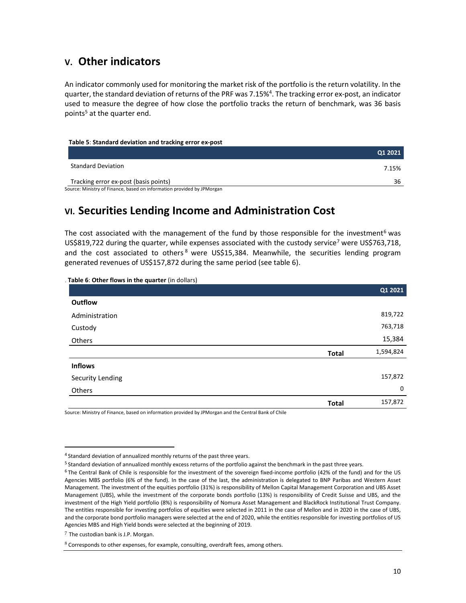## V. Other indicators

An indicator commonly used for monitoring the market risk of the portfolio is the return volatility. In the quarter, the standard deviation of returns of the PRF was 7.15%<sup>4</sup>. The tracking error ex-post, an indicator used to measure the degree of how close the portfolio tracks the return of benchmark, was 36 basis points<sup>5</sup> at the quarter end.

#### Table 5: Standard deviation and tracking error ex-post

|                                       | Q1 2021 |
|---------------------------------------|---------|
| <b>Standard Deviation</b>             | 7.15%   |
| Tracking error ex-post (basis points) | 36      |
| .<br>.                                |         |

Source: Ministry of Finance, based on information provided by JPMorgan

## VI. Securities Lending Income and Administration Cost

The cost associated with the management of the fund by those responsible for the investment<sup>6</sup> was US\$819,722 during the quarter, while expenses associated with the custody service<sup>7</sup> were US\$763,718, and the cost associated to others<sup>8</sup> were US\$15,384. Meanwhile, the securities lending program generated revenues of US\$157,872 during the same period (see table 6).

| Table 6: Other flows in the quarter (in dollars) |              |           |
|--------------------------------------------------|--------------|-----------|
|                                                  |              | Q1 2021   |
| Outflow                                          |              |           |
| Administration                                   |              | 819,722   |
| Custody                                          |              | 763,718   |
| Others                                           |              | 15,384    |
|                                                  | <b>Total</b> | 1,594,824 |
| <b>Inflows</b>                                   |              |           |
| Security Lending                                 |              | 157,872   |
| Others                                           |              | 0         |
|                                                  | <b>Total</b> | 157,872   |

Source: Ministry of Finance, based on information provided by JPMorgan and the Central Bank of Chile

-

<sup>&</sup>lt;sup>4</sup> Standard deviation of annualized monthly returns of the past three years.

<sup>&</sup>lt;sup>5</sup> Standard deviation of annualized monthly excess returns of the portfolio against the benchmark in the past three years.

<sup>6</sup>The Central Bank of Chile is responsible for the investment of the sovereign fixed-income portfolio (42% of the fund) and for the US Agencies MBS portfolio (6% of the fund). In the case of the last, the administration is delegated to BNP Paribas and Western Asset Management. The investment of the equities portfolio (31%) is responsibility of Mellon Capital Management Corporation and UBS Asset Management (UBS), while the investment of the corporate bonds portfolio (13%) is responsibility of Credit Suisse and UBS, and the investment of the High Yield portfolio (8%) is responsibility of Nomura Asset Management and BlackRock Institutional Trust Company. The entities responsible for investing portfolios of equities were selected in 2011 in the case of Mellon and in 2020 in the case of UBS, and the corporate bond portfolio managers were selected at the end of 2020, while the entities responsible for investing portfolios of US Agencies MBS and High Yield bonds were selected at the beginning of 2019.

 $7$  The custodian bank is J.P. Morgan.

 $8$  Corresponds to other expenses, for example, consulting, overdraft fees, among others.